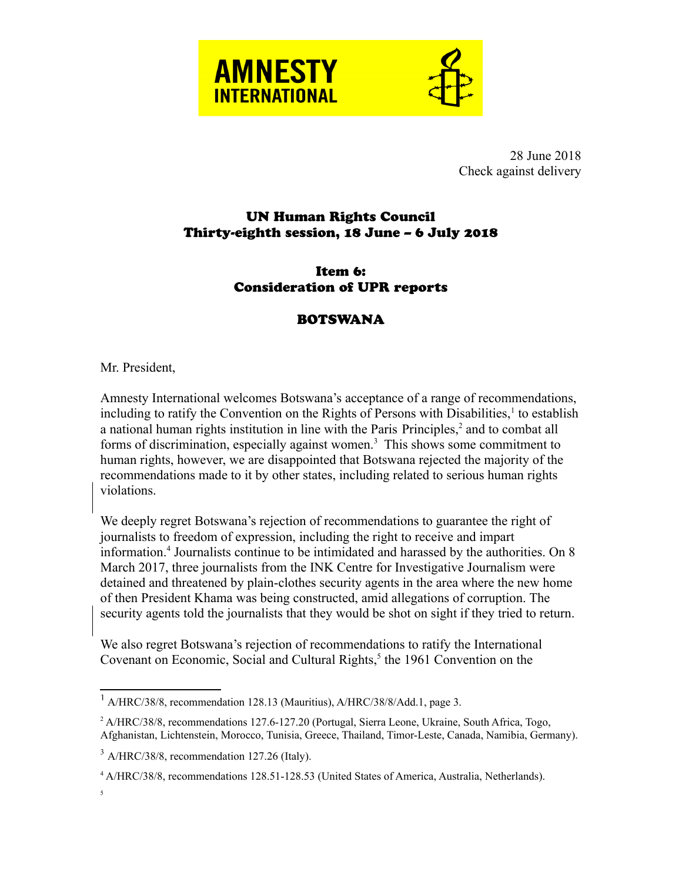



28 June 2018 Check against delivery

## UN Human Rights Council Thirty-eighth session, 18 June – 6 July 2018

## Item 6: Consideration of UPR reports

## **BOTSWANA**

## Mr. President,

Amnesty International welcomes Botswana's acceptance of a range of recommendations, including to ratify the Convention on the Rights of Persons with Disabilities, $<sup>1</sup>$  $<sup>1</sup>$  $<sup>1</sup>$  to establish</sup> a national human rights institution in line with the Paris Principles,<sup>[2](#page-0-1)</sup> and to combat all forms of discrimination, especially against women.<sup>[3](#page-0-2)</sup> This shows some commitment to human rights, however, we are disappointed that Botswana rejected the majority of the recommendations made to it by other states, including related to serious human rights violations.

We deeply regret Botswana's rejection of recommendations to guarantee the right of journalists to freedom of expression, including the right to receive and impart information.[4](#page-0-3) Journalists continue to be intimidated and harassed by the authorities. On 8 March 2017, three journalists from the INK Centre for Investigative Journalism were detained and threatened by plain-clothes security agents in the area where the new home of then President Khama was being constructed, amid allegations of corruption. The security agents told the journalists that they would be shot on sight if they tried to return.

We also regret Botswana's rejection of recommendations to ratify the International Covenant on Economic, Social and Cultural Rights,<sup>[5](#page-0-4)</sup> the 1961 Convention on the

<span id="page-0-0"></span><sup>&</sup>lt;sup>1</sup> A/HRC/38/8, recommendation 128.13 (Mauritius), A/HRC/38/8/Add.1, page 3.

<span id="page-0-1"></span><sup>&</sup>lt;sup>2</sup> A/HRC/38/8, recommendations 127.6-127.20 (Portugal, Sierra Leone, Ukraine, South Africa, Togo, Afghanistan, Lichtenstein, Morocco, Tunisia, Greece, Thailand, Timor-Leste, Canada, Namibia, Germany).

<span id="page-0-2"></span> $3$  A/HRC/38/8, recommendation 127.26 (Italy).

<span id="page-0-4"></span><span id="page-0-3"></span><sup>4</sup> A/HRC/38/8, recommendations 128.51-128.53 (United States of America, Australia, Netherlands).